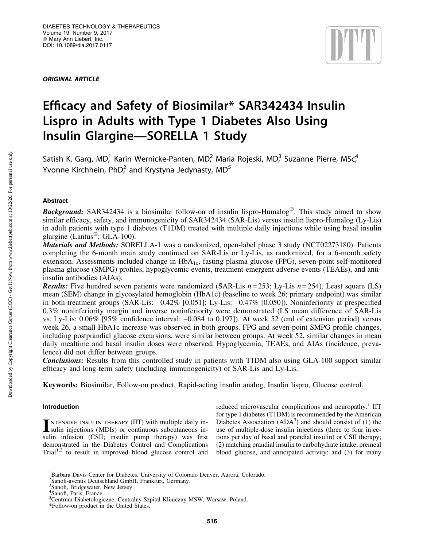ORIGINAL ARTICLE



# Efficacy and Safety of Biosimilar\* SAR342434 Insulin Lispro in Adults with Type 1 Diabetes Also Using Insulin Glargine—SORELLA 1 Study

Satish K. Garg, MD,<sup>1</sup> Karin Wernicke-Panten, MD,<sup>2</sup> Maria Rojeski, MD,<sup>3</sup> Suzanne Pierre, MSc,<sup>4</sup> Yvonne Kirchhein, PhD $^2$  and Krystyna Jedynasty, MD $^5$ 

# Abstract

Background: SAR342434 is a biosimilar follow-on of insulin lispro-Humalog®. This study aimed to show similar efficacy, safety, and immunogenicity of SAR342434 (SAR-Lis) versus insulin lispro-Humalog (Ly-Lis) in adult patients with type 1 diabetes (T1DM) treated with multiple daily injections while using basal insulin glargine (Lantus<sup>®</sup>; GLA-100).

Materials and Methods: SORELLA-1 was a randomized, open-label phase 3 study (NCT02273180). Patients completing the 6-month main study continued on SAR-Lis or Ly-Lis, as randomized, for a 6-month safety extension. Assessments included change in HbA<sub>1c</sub>, fasting plasma glucose (FPG), seven-point self-monitored plasma glucose (SMPG) profiles, hypoglycemic events, treatment-emergent adverse events (TEAEs), and antiinsulin antibodies (AIAs).

**Results:** Five hundred seven patients were randomized (SAR-Lis  $n = 253$ ; Ly-Lis  $n = 254$ ). Least square (LS) mean (SEM) change in glycosylated hemoglobin (HbA1c) (baseline to week 26; primary endpoint) was similar in both treatment groups (SAR-Lis:  $-0.42\%$  [0.051]; Ly-Lis:  $-0.47\%$  [0.050]). Noninferiority at prespecified 0.3% noninferiority margin and inverse noninferiority were demonstrated (LS mean difference of SAR-Lis vs. Ly-Lis:  $0.06\%$  [95% confidence interval:  $-0.084$  to 0.197]). At week 52 (end of extension period) versus week 26, a small HbA1c increase was observed in both groups. FPG and seven-point SMPG profile changes, including postprandial glucose excursions, were similar between groups. At week 52, similar changes in mean daily mealtime and basal insulin doses were observed. Hypoglycemia, TEAEs, and AIAs (incidence, prevalence) did not differ between groups.

Conclusions: Results from this controlled study in patients with T1DM also using GLA-100 support similar efficacy and long-term safety (including immunogenicity) of SAR-Lis and Ly-Lis.

Keywords: Biosimilar, Follow-on product, Rapid-acting insulin analog, Insulin lispro, Glucose control.

# Introduction

**INTENSIVE INSULIN THERAPY (IIT) with multiple daily in-**<br>sulin injections (MDIs) or continuous subcutaneous insulin infusion (CSII; insulin pump therapy) was first demonstrated in the Diabetes Control and Complications  $Triall<sup>1,2</sup>$  to result in improved blood glucose control and reduced microvascular complications and neuropathy.<sup>1</sup> IIT for type 1 diabetes (T1DM) is recommended by the American Diabetes Association  $(ADA^3)$  and should consist of (1) the use of multiple-dose insulin injections (three to four injections per day of basal and prandial insulin) or CSII therapy; (2) matching prandial insulin to carbohydrate intake, premeal blood glucose, and anticipated activity; and (3) for many

<sup>&</sup>lt;sup>1</sup>Barbara Davis Center for Diabetes, University of Colorado Denver, Aurora, Colorado.

<sup>2</sup> Sanofi-aventis Deutschland GmbH, Frankfurt, Germany.

<sup>&</sup>lt;sup>3</sup>Sanofi, Bridgewater, New Jersey.

<sup>4</sup> Sanofi, Paris, France.

<sup>&</sup>lt;sup>5</sup>Centrum Diabetologiczne, Centralny Szpital Kliniczny MSW, Warsaw, Poland.

<sup>\*</sup>Follow-on product in the United States.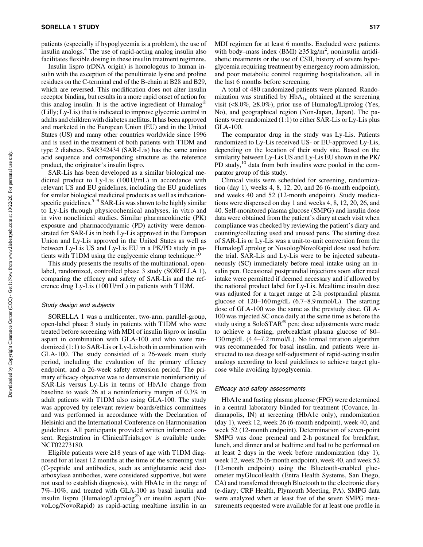patients (especially if hypoglycemia is a problem), the use of insulin analogs.4 The use of rapid-acting analog insulin also facilitates flexible dosing in these insulin treatment regimens.

Insulin lispro (rDNA origin) is homologous to human insulin with the exception of the penultimate lysine and proline residues on the C-terminal end of the B-chain at B28 and B29, which are reversed. This modification does not alter insulin receptor binding, but results in a more rapid onset of action for this analog insulin. It is the active ingredient of Humalog<sup>®</sup> (Lilly; Ly-Lis) that is indicated to improve glycemic control in adults and children with diabetes mellitus. It has been approved and marketed in the European Union (EU) and in the United States (US) and many other countries worldwide since 1996 and is used in the treatment of both patients with T1DM and type 2 diabetes. SAR342434 (SAR-Lis) has the same amino acid sequence and corresponding structure as the reference product, the originator's insulin lispro.

SAR-Lis has been developed as a similar biological medicinal product to Ly-Lis (100 U/mL) in accordance with relevant US and EU guidelines, including the EU guidelines for similar biological medicinal products as well as indicationspecific guidelines. $5-9$  SAR-Lis was shown to be highly similar to Ly-Lis through physicochemical analyses, in vitro and in vivo nonclinical studies. Similar pharmacokinetic (PK) exposure and pharmacodynamic (PD) activity were demonstrated for SAR-Lis in both Ly-Lis approved in the European Union and Ly-Lis approved in the United States as well as between Ly-Lis US and Ly-Lis EU in a PK/PD study in patients with T1DM using the euglycemic clamp technique.10

This study presents the results of the multinational, openlabel, randomized, controlled phase 3 study (SORELLA 1), comparing the efficacy and safety of SAR-Lis and the reference drug Ly-Lis (100 U/mL) in patients with T1DM.

## Study design and subjects

SORELLA 1 was a multicenter, two-arm, parallel-group, open-label phase 3 study in patients with T1DM who were treated before screening with MDI of insulin lispro or insulin aspart in combination with GLA-100 and who were randomized (1:1) to SAR-Lis or Ly-Lis both in combination with GLA-100. The study consisted of a 26-week main study period, including the evaluation of the primary efficacy endpoint, and a 26-week safety extension period. The primary efficacy objective was to demonstrate noninferiority of SAR-Lis versus Ly-Lis in terms of HbA1c change from baseline to week 26 at a noninferiority margin of 0.3% in adult patients with T1DM also using GLA-100. The study was approved by relevant review boards/ethics committees and was performed in accordance with the Declaration of Helsinki and the International Conference on Harmonisation guidelines. All participants provided written informed consent. Registration in ClinicalTrials.gov is available under NCT02273180.

Eligible patients were  $\geq 18$  years of age with T1DM diagnosed for at least 12 months at the time of the screening visit (C-peptide and antibodies, such as antiglutamic acid decarboxylase antibodies, were considered supportive, but were not used to establish diagnosis), with HbA1c in the range of 7%–10%, and treated with GLA-100 as basal insulin and insulin lispro (Humalog/Liprolog®) or insulin aspart (NovoLog/NovoRapid) as rapid-acting mealtime insulin in an

MDI regimen for at least 6 months. Excluded were patients with body–mass index (BMI)  $\geq$ 35 kg/m<sup>2</sup>, noninsulin antidiabetic treatments or the use of CSII, history of severe hypoglycemia requiring treatment by emergency room admission, and poor metabolic control requiring hospitalization, all in the last 6 months before screening.

A total of 480 randomized patients were planned. Randomization was stratified by HbA<sub>1c</sub> obtained at the screening visit (<8.0%,  $\geq$ 8.0%), prior use of Humalog/Liprolog (Yes, No), and geographical region (Non-Japan, Japan). The patients were randomized (1:1) to either SAR-Lis or Ly-Lis plus GLA-100.

The comparator drug in the study was Ly-Lis. Patients randomized to Ly-Lis received US- or EU-approved Ly-Lis, depending on the location of their study site. Based on the similarity between Ly-Lis US and Ly-Lis EU shown in the PK/ PD study, $^{10}$  data from both insulins were pooled in the comparator group of this study.

Clinical visits were scheduled for screening, randomization (day 1), weeks 4, 8, 12, 20, and 26 (6-month endpoint), and weeks 40 and 52 (12-month endpoint). Study medications were dispensed on day 1 and weeks 4, 8, 12, 20, 26, and 40. Self-monitored plasma glucose (SMPG) and insulin dose data were obtained from the patient's diary at each visit when compliance was checked by reviewing the patient's diary and counting/collecting used and unused pens. The starting dose of SAR-Lis or Ly-Lis was a unit-to-unit conversion from the Humalog/Liprolog or Novolog/NovoRapid dose used before the trial. SAR-Lis and Ly-Lis were to be injected subcutaneously (SC) immediately before meal intake using an insulin pen. Occasional postprandial injections soon after meal intake were permitted if deemed necessary and if allowed by the national product label for Ly-Lis. Mealtime insulin dose was adjusted for a target range at 2-h postprandial plasma glucose of 120–160 mg/dL (6.7–8.9 mmol/L). The starting dose of GLA-100 was the same as the prestudy dose. GLA-100 was injected SC once daily at the same time as before the study using a SoloSTAR<sup>®</sup> pen; dose adjustments were made to achieve a fasting, prebreakfast plasma glucose of 80– 130 mg/dL (4.4–7.2 mmol/L). No formal titration algorithm was recommended for basal insulin, and patients were instructed to use dosage self-adjustment of rapid-acting insulin analogs according to local guidelines to achieve target glucose while avoiding hypoglycemia.

### Efficacy and safety assessments

HbA1c and fasting plasma glucose (FPG) were determined in a central laboratory blinded for treatment (Covance, Indianapolis, IN) at screening (HbA1c only), randomization (day 1), week 12, week 26 (6-month endpoint), week 40, and week 52 (12-month endpoint). Determination of seven-point SMPG was done premeal and 2-h postmeal for breakfast, lunch, and dinner and at bedtime and had to be performed on at least 2 days in the week before randomization (day 1), week 12, week 26 (6-month endpoint), week 40, and week 52 (12-month endpoint) using the Bluetooth-enabled glucometer myGlucoHealth (Entra Health Systems, San Diego, CA) and transferred through Bluetooth to the electronic diary (e-diary; CRF Health, Plymouth Meeting, PA). SMPG data were analyzed when at least five of the seven SMPG measurements requested were available for at least one profile in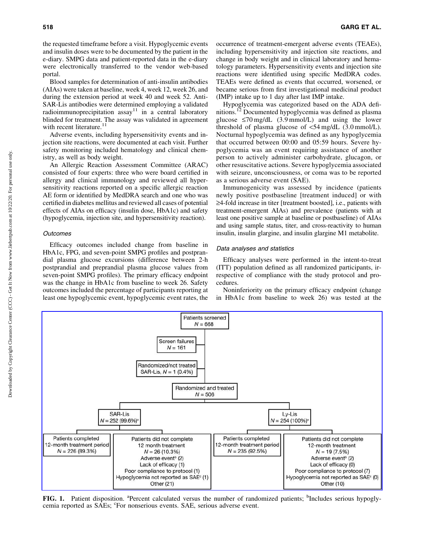the requested timeframe before a visit. Hypoglycemic events and insulin doses were to be documented by the patient in the e-diary. SMPG data and patient-reported data in the e-diary were electronically transferred to the vendor web-based portal.

Blood samples for determination of anti-insulin antibodies (AIAs) were taken at baseline, week 4, week 12, week 26, and during the extension period at week 40 and week 52. Anti-SAR-Lis antibodies were determined employing a validated radioimmunoprecipitation  $assay<sup>11</sup>$  in a central laboratory blinded for treatment. The assay was validated in agreement with recent literature.<sup>11</sup>

Adverse events, including hypersensitivity events and injection site reactions, were documented at each visit. Further safety monitoring included hematology and clinical chemistry, as well as body weight.

An Allergic Reaction Assessment Committee (ARAC) consisted of four experts: three who were board certified in allergy and clinical immunology and reviewed all hypersensitivity reactions reported on a specific allergic reaction AE form or identified by MedDRA search and one who was certified in diabetes mellitus and reviewed all cases of potential effects of AIAs on efficacy (insulin dose, HbA1c) and safety (hypoglycemia, injection site, and hypersensitivity reaction).

#### **Outcomes**

Efficacy outcomes included change from baseline in HbA1c, FPG, and seven-point SMPG profiles and postprandial plasma glucose excursions (difference between 2-h postprandial and preprandial plasma glucose values from seven-point SMPG profiles). The primary efficacy endpoint was the change in HbA1c from baseline to week 26. Safety outcomes included the percentage of participants reporting at least one hypoglycemic event, hypoglycemic event rates, the occurrence of treatment-emergent adverse events (TEAEs), including hypersensitivity and injection site reactions, and change in body weight and in clinical laboratory and hematology parameters. Hypersensitivity events and injection site reactions were identified using specific MedDRA codes. TEAEs were defined as events that occurred, worsened, or became serious from first investigational medicinal product (IMP) intake up to 1 day after last IMP intake.

Hypoglycemia was categorized based on the ADA definitions.<sup>12</sup> Documented hypoglycemia was defined as plasma glucose  $\leq 70$  mg/dL (3.9 mmol/L) and using the lower threshold of plasma glucose of  $\leq 54$  mg/dL (3.0 mmol/L). Nocturnal hypoglycemia was defined as any hypoglycemia that occurred between 00:00 and 05:59 hours. Severe hypoglycemia was an event requiring assistance of another person to actively administer carbohydrate, glucagon, or other resuscitative actions. Severe hypoglycemia associated with seizure, unconsciousness, or coma was to be reported as a serious adverse event (SAE).

Immunogenicity was assessed by incidence (patients newly positive postbaseline [treatment induced] or with  $\geq$ 4-fold increase in titer [treatment boosted], i.e., patients with treatment-emergent AIAs) and prevalence (patients with at least one positive sample at baseline or postbaseline) of AIAs and using sample status, titer, and cross-reactivity to human insulin, insulin glargine, and insulin glargine M1 metabolite.

#### Data analyses and statistics

Efficacy analyses were performed in the intent-to-treat (ITT) population defined as all randomized participants, irrespective of compliance with the study protocol and procedures.

Noninferiority on the primary efficacy endpoint (change in HbA1c from baseline to week 26) was tested at the



FIG. 1. Patient disposition. <sup>a</sup>Percent calculated versus the number of randomized patients; <sup>b</sup>Includes serious hypoglycemia reported as SAEs; 'For nonserious events. SAE, serious adverse event.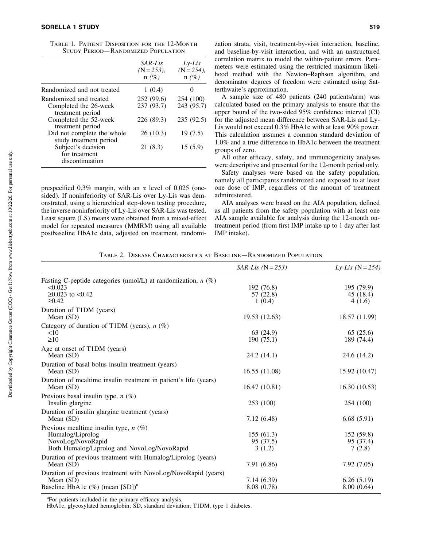|                                                        | SAR-Lis<br>$(N = 253)$ ,<br>$n(\%)$ | $Lv-Lis$<br>$(N = 254)$ ,<br>$n(\%)$ |
|--------------------------------------------------------|-------------------------------------|--------------------------------------|
| Randomized and not treated                             | 1(0.4)                              |                                      |
| Randomized and treated                                 | 252 (99.6)                          | 254 (100)                            |
| Completed the 26-week<br>treatment period              | 237 (93.7)                          | 243 (95.7)                           |
| Completed the 52-week<br>treatment period              | 226 (89.3)                          | 235(92.5)                            |
| Did not complete the whole<br>study treatment period   | 26(10.3)                            | 19(7.5)                              |
| Subject's decision<br>for treatment<br>discontinuation | 21 (8.3)                            | 15(5.9)                              |

Table 1. Patient Disposition for the 12-Month Study Period—Randomized Population

prespecified  $0.3\%$  margin, with an  $\alpha$  level of  $0.025$  (onesided). If noninferiority of SAR-Lis over Ly-Lis was demonstrated, using a hierarchical step-down testing procedure, the inverse noninferiority of Ly-Lis over SAR-Lis was tested. Least square (LS) means were obtained from a mixed-effect model for repeated measures (MMRM) using all available postbaseline HbA1c data, adjusted on treatment, randomization strata, visit, treatment-by-visit interaction, baseline, and baseline-by-visit interaction, and with an unstructured correlation matrix to model the within-patient errors. Parameters were estimated using the restricted maximum likelihood method with the Newton–Raphson algorithm, and denominator degrees of freedom were estimated using Satterthwaite's approximation.

A sample size of 480 patients (240 patients/arm) was calculated based on the primary analysis to ensure that the upper bound of the two-sided 95% confidence interval (CI) for the adjusted mean difference between SAR-Lis and Ly-Lis would not exceed 0.3% HbA1c with at least 90% power. This calculation assumes a common standard deviation of 1.0% and a true difference in HbA1c between the treatment groups of zero.

All other efficacy, safety, and immunogenicity analyses were descriptive and presented for the 12-month period only.

Safety analyses were based on the safety population, namely all participants randomized and exposed to at least one dose of IMP, regardless of the amount of treatment administered.

AIA analyses were based on the AIA population, defined as all patients from the safety population with at least one AIA sample available for analysis during the 12-month ontreatment period (from first IMP intake up to 1 day after last IMP intake).

Table 2. Disease Characteristics at Baseline—Randomized Population

|                                                                  | $SAR-Lis$ (N = 253) | Ly-Lis $(N = 254)$ |
|------------------------------------------------------------------|---------------------|--------------------|
| Fasting C-peptide categories (nmol/L) at randomization, $n$ (%)  |                     |                    |
| < 0.023                                                          | 192 (76.8)          | 195 (79.9)         |
| $≥0.023$ to <0.42                                                | 57 (22.8)           | 45 (18.4)          |
| $\geq 0.42$                                                      | 1(0.4)              | 4(1.6)             |
| Duration of T1DM (years)                                         |                     |                    |
| Mean $(SD)$                                                      | 19.53 (12.63)       | 18.57 (11.99)      |
| Category of duration of T1DM (years), $n$ (%)                    |                     |                    |
| <10                                                              | 63 (24.9)           | 65(25.6)           |
| $\geq 10$                                                        | 190(75.1)           | 189 (74.4)         |
| Age at onset of T1DM (years)                                     |                     |                    |
| Mean $(SD)$                                                      | 24.2 (14.1)         | 24.6 (14.2)        |
| Duration of basal bolus insulin treatment (years)                |                     |                    |
| Mean $(SD)$                                                      | 16.55(11.08)        | 15.92 (10.47)      |
| Duration of mealtime insulin treatment in patient's life (years) |                     |                    |
| Mean (SD)                                                        | 16.47(10.81)        | 16.30(10.53)       |
| Previous basal insulin type, $n$ (%)                             |                     |                    |
| Insulin glargine                                                 | 253 (100)           | 254 (100)          |
| Duration of insulin glargine treatment (years)                   |                     |                    |
| Mean (SD)                                                        | 7.12(6.48)          | 6.68(5.91)         |
| Previous mealtime insulin type, $n$ (%)                          |                     |                    |
| Humalog/Liprolog                                                 | 155(61.3)           | 152 (59.8)         |
| NovoLog/NovoRapid                                                | 95 (37.5)           | 95 (37.4)          |
| Both Humalog/Liprolog and NovoLog/NovoRapid                      | 3(1.2)              | 7(2.8)             |
| Duration of previous treatment with Humalog/Liprolog (years)     |                     |                    |
| Mean $(SD)$                                                      | 7.91 (6.86)         | 7.92(7.05)         |
| Duration of previous treatment with NovoLog/NovoRapid (years)    |                     |                    |
| Mean $(SD)$                                                      | 7.14 (6.39)         | 6.26(5.19)         |
| Baseline HbA1c $(\%)$ (mean [SD]) <sup>a</sup>                   | 8.08 (0.78)         | 8.00(0.64)         |

<sup>a</sup>For patients included in the primary efficacy analysis.

HbA1c, glycosylated hemoglobin; SD, standard deviation; T1DM, type 1 diabetes.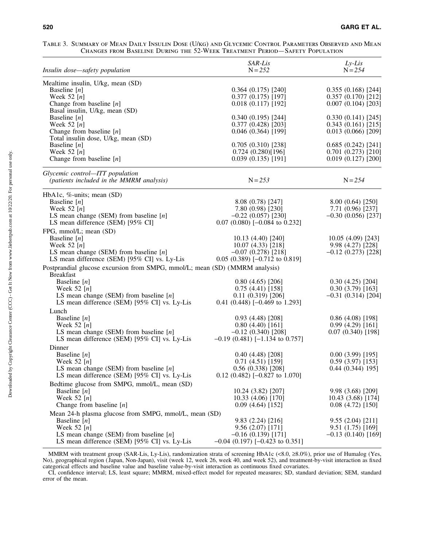| TABLE 3. SUMMARY OF MEAN DAILY INSULIN DOSE (U/KG) AND GLYCEMIC CONTROL PARAMETERS OBSERVED AND MEAN |  |  |  |
|------------------------------------------------------------------------------------------------------|--|--|--|
| CHANGES FROM BASELINE DURING THE 52-WEEK TREATMENT PERIOD—SAFETY POPULATION                          |  |  |  |

| Insulin dose-safety population                                              | SAR-Lis<br>$N = 252$                   | $Ly-Lis$<br>$N = 254$                  |
|-----------------------------------------------------------------------------|----------------------------------------|----------------------------------------|
| Mealtime insulin, U/kg, mean (SD)                                           |                                        |                                        |
| Baseline $[n]$                                                              | 0.364(0.175)[240]                      | 0.355(0.168)[244]                      |
| Week 52 $[n]$                                                               | 0.377(0.175)[197]                      | 0.357(0.170)[212]                      |
| Change from baseline $[n]$                                                  | 0.018(0.117)[192]                      | 0.007(0.104)[203]                      |
| Basal insulin, U/kg, mean (SD)                                              |                                        |                                        |
| Baseline $[n]$                                                              | 0.340(0.195)[244]                      | 0.330(0.141)[245]                      |
| Week 52 $[n]$                                                               | 0.377(0.428)[203]                      | 0.343(0.161)[215]                      |
| Change from baseline $[n]$                                                  | 0.046(0.364)[199]                      | 0.013(0.066)[209]                      |
| Total insulin dose, U/kg, mean (SD)                                         |                                        |                                        |
| Baseline $[n]$<br>Week 52 $[n]$                                             | 0.705(0.310)[238]                      | 0.685(0.242)[241]                      |
| Change from baseline $[n]$                                                  | 0.724(0.280)[196]<br>0.039(0.135)[191] | 0.701(0.273)[210]<br>0.019(0.127)[200] |
|                                                                             |                                        |                                        |
| Glycemic control-ITT population                                             |                                        |                                        |
| (patients included in the MMRM analysis)                                    | $N = 253$                              | $N = 254$                              |
| HbA1c, %-units; mean (SD)                                                   |                                        |                                        |
| Baseline $[n]$                                                              | 8.08(0.78)[247]                        | 8.00(0.64)[250]                        |
| Week 52 $[n]$                                                               | 7.80 (0.98) [230]                      | 7.71 (0.96) [237]                      |
| LS mean change (SEM) from baseline $[n]$                                    | $-0.22$ (0.057) [230]                  | $-0.30$ (0.056) [237]                  |
| LS mean difference (SEM) [95% CI]                                           | $0.07$ (0.080) [-0.084 to 0.232]       |                                        |
| FPG, mmol/L; mean (SD)                                                      |                                        |                                        |
| Baseline $[n]$                                                              | 10.13 (4.40) [240]                     | 10.05(4.09)[243]                       |
| Week 52 $[n]$                                                               | 10.07 (4.33) [218]                     | 9.98 (4.27) [228]                      |
| LS mean change (SEM) from baseline $[n]$                                    | $-0.07(0.278)[218]$                    | $-0.12$ (0.273) [228]                  |
| LS mean difference (SEM) [95% CI] vs. Ly-Lis                                | $0.05$ $(0.389)$ $[-0.712$ to $0.819]$ |                                        |
| Postprandial glucose excursion from SMPG, mmol/L; mean (SD) (MMRM analysis) |                                        |                                        |
| <b>Breakfast</b>                                                            |                                        |                                        |
| Baseline $[n]$                                                              | 0.80(4.65)[206]<br>0.75(4.41)[158]     | 0.30(4.25)[204]<br>0.30(3.79)[163]     |
| Week 52 $[n]$<br>LS mean change (SEM) from baseline $[n]$                   | 0.11(0.319)[206]                       | $-0.31(0.314)[204]$                    |
| LS mean difference (SEM) [95% CI] vs. Ly-Lis                                | 0.41 $(0.448)$ [-0.469 to 1.293]       |                                        |
| Lunch                                                                       |                                        |                                        |
| Baseline $[n]$                                                              | 0.93(4.48)[208]                        | 0.86(4.08)[198]                        |
| Week 52 $[n]$                                                               | 0.80(4.40)[161]                        | 0.99(4.29)[161]                        |
| LS mean change (SEM) from baseline $[n]$                                    | $-0.12$ (0.340) [208]                  | 0.07(0.340)[198]                       |
| LS mean difference (SEM) [95% CI] vs. Ly-Lis                                | $-0.19$ (0.481) [-1.134 to 0.757]      |                                        |
| Dinner                                                                      |                                        |                                        |
| Baseline $[n]$                                                              | 0.40(4.48)[208]                        | $0.00(3.99)$ [195]                     |
| Week 52 $[n]$                                                               | 0.71(4.51)[159]                        | 0.59(3.97)[153]                        |
| LS mean change (SEM) from baseline $[n]$                                    | 0.56(0.338)[208]                       | $0.44(0.344)195$ ]                     |
| LS mean difference (SEM) [95% CI] vs. Ly-Lis                                | $0.12$ (0.482) [-0.827 to 1.070]       |                                        |
| Bedtime glucose from SMPG, mmol/L, mean (SD)                                |                                        |                                        |
| Baseline $[n]$                                                              | 10.24 (3.82) [207]                     | 9.98 (3.68) [209]                      |
| Week 52 $[n]$                                                               | 10.33 (4.06) [170]                     | 10.43 (3.68) [174]                     |
| Change from baseline $[n]$                                                  | 0.09(4.64)[152]                        | 0.08(4.72)[150]                        |
| Mean 24-h plasma glucose from SMPG, mmol/L, mean (SD)                       |                                        |                                        |
| Baseline $[n]$                                                              | 9.83(2.24)[216]                        | 9.55(2.04)[211]                        |
| Week 52 $[n]$                                                               | 9.56 (2.07) [171]                      | 9.51 (1.75) [169]                      |
| LS mean change (SEM) from baseline $[n]$                                    | $-0.16$ (0.139) [171]                  | $-0.13(0.140)[169]$                    |
| LS mean difference (SEM) [95% CI] vs. Ly-Lis                                | $-0.04$ (0.197) [ $-0.423$ to 0.351]   |                                        |

MMRM with treatment group (SAR-Lis, Ly-Lis), randomization strata of screening HbA1c (<8.0, ≥8.0%), prior use of Humalog (Yes, No), geographical region ( Japan, Non-Japan), visit (week 12, week 26, week 40, and week 52), and treatment-by-visit interaction as fixed categorical effects and baseline value and baseline value-by-visit interaction as continuous fixed covariates.

CI, confidence interval; LS, least square; MMRM, mixed-effect model for repeated measures; SD, standard deviation; SEM, standard error of the mean.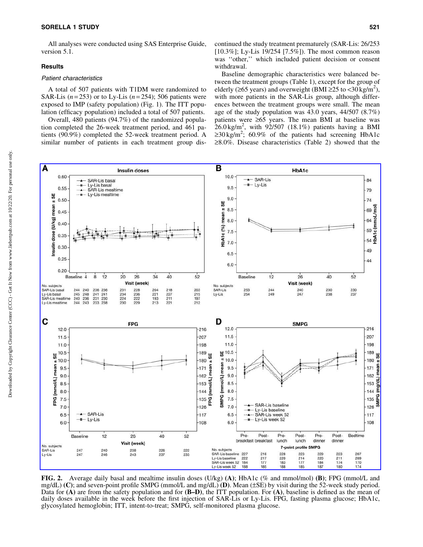All analyses were conducted using SAS Enterprise Guide, version 5.1.

#### **Results**

#### Patient characteristics

A total of 507 patients with T1DM were randomized to SAR-Lis  $(n=253)$  or to Ly-Lis  $(n=254)$ ; 506 patients were exposed to IMP (safety population) (Fig. 1). The ITT population (efficacy population) included a total of 507 patients.

Overall, 480 patients (94.7%) of the randomized population completed the 26-week treatment period, and 461 patients (90.9%) completed the 52-week treatment period. A similar number of patients in each treatment group dis-

Baseline demographic characteristics were balanced between the treatment groups (Table 1), except for the group of elderly ( $\geq 65$  years) and overweight (BMI  $\geq 25$  to  $\lt 30$  kg/m<sup>2</sup>), with more patients in the SAR-Lis group, although differences between the treatment groups were small. The mean age of the study population was 43.0 years, 44/507 (8.7%) patients were  $\geq 65$  years. The mean BMI at baseline was  $26.0 \text{ kg/m}^2$ , with  $92/507$  (18.1%) patients having a BMI  $\geq 30 \text{ kg/m}^2$ ; 60.9% of the patients had screening HbA1c  $\geq 8.0\%$ . Disease characteristics (Table 2) showed that the



FIG. 2. Average daily basal and mealtime insulin doses (U/kg) (A); HbA1c (% and mmol/mol) (B); FPG (mmol/L and mg/dL) (C); and seven-point profile SMPG (mmol/L and mg/dL) (D). Mean ( $\pm$ SE) by visit during the 52-week study period. Data for  $(A)$  are from the safety population and for  $(B-D)$ , the ITT population. For  $(A)$ , baseline is defined as the mean of daily doses available in the week before the first injection of SAR-Lis or Ly-Lis. FPG, fasting plasma glucose; HbA1c, glycosylated hemoglobin; ITT, intent-to-treat; SMPG, self-monitored plasma glucose.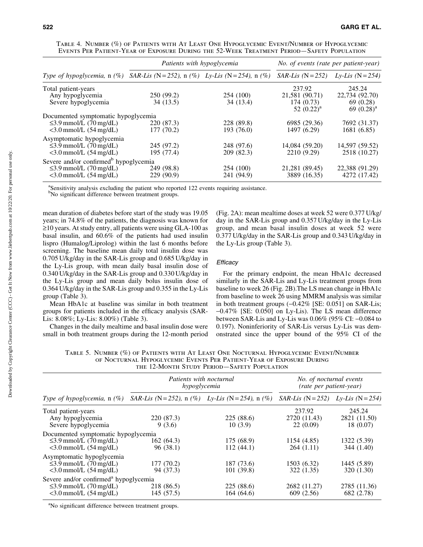|                                                                                                                          | Patients with hypoglycemia                       |                          | No. of events (rate per patient-year)                  |                                                        |
|--------------------------------------------------------------------------------------------------------------------------|--------------------------------------------------|--------------------------|--------------------------------------------------------|--------------------------------------------------------|
| Type of hypoglycemia, $n$ (%)                                                                                            | SAR-Lis (N = 252), n (%) Ly-Lis (N = 254), n (%) |                          | $SAR-Lis$ (N = 252)                                    | $Lv-Lis$ (N = 254)                                     |
| Total patient-years<br>Any hypoglycemia<br>Severe hypoglycemia                                                           | 250 (99.2)<br>34 (13.5)                          | 254 (100)<br>34 (13.4)   | 237.92<br>21,581 (90.71)<br>174(0.73)<br>52 $(0.22)^a$ | 245.24<br>22,734 (92.70)<br>69 (0.28)<br>69 $(0.28)^a$ |
| Documented symptomatic hypoglycemia<br>$\leq$ 3.9 mmol/L (70 mg/dL)<br>$<$ 3.0 mmol/L $(54 \text{ mg/dL})$               | 220 (87.3)<br>177 (70.2)                         | 228 (89.8)<br>193 (76.0) | 6985 (29.36)<br>1497 (6.29)                            | 7692 (31.37)<br>1681 (6.85)                            |
| Asymptomatic hypoglycemia<br>$\leq$ 3.9 mmol/L (70 mg/dL)<br>$<$ 3.0 mmol/L $(54 \text{ mg/dL})$                         | 245 (97.2)<br>195 (77.4)                         | 248 (97.6)<br>209 (82.3) | 14,084 (59.20)<br>2210 (9.29)                          | 14,597 (59.52)<br>2518 (10.27)                         |
| Severe and/or confirmed <sup>b</sup> hypoglycemia<br>$\leq$ 3.9 mmol/L (70 mg/dL)<br>$<$ 3.0 mmol/L $(54 \text{ mg/dL})$ | 249 (98.8)<br>229 (90.9)                         | 254 (100)<br>241 (94.9)  | 21,281 (89.45)<br>3889 (16.35)                         | 22,388 (91.29)<br>4272 (17.42)                         |

Table 4. Number (%) of Patients with At Least One Hypoglycemic Event/Number of Hypoglycemic Events Per Patient-Year of Exposure During the 52-Week Treatment Period—Safety Population

<sup>a</sup>Sensitivity analysis excluding the patient who reported 122 events requiring assistance.

<sup>b</sup>No significant difference between treatment groups.

mean duration of diabetes before start of the study was 19.05 years; in 74.8% of the patients, the diagnosis was known for  $\ge$ 10 years. At study entry, all patients were using GLA-100 as basal insulin, and 60.6% of the patients had used insulin lispro (Humalog/Liprolog) within the last 6 months before screening. The baseline mean daily total insulin dose was 0.705 U/kg/day in the SAR-Lis group and 0.685 U/kg/day in the Ly-Lis group, with mean daily basal insulin dose of 0.340 U/kg/day in the SAR-Lis group and 0.330 U/kg/day in the Ly-Lis group and mean daily bolus insulin dose of 0.364 U/kg/day in the SAR-Lis group and 0.355 in the Ly-Lis group (Table 3).

Mean HbA1c at baseline was similar in both treatment groups for patients included in the efficacy analysis (SAR-Lis: 8.08%; Ly-Lis: 8.00%) (Table 3).

Changes in the daily mealtime and basal insulin dose were small in both treatment groups during the 12-month period (Fig. 2A): mean mealtime doses at week 52 were 0.377 U/kg/ day in the SAR-Lis group and 0.357 U/kg/day in the Ly-Lis group, and mean basal insulin doses at week 52 were 0.377 U/kg/day in the SAR-Lis group and 0.343 U/kg/day in the Ly-Lis group (Table 3).

## **Efficacy**

For the primary endpoint, the mean HbA1c decreased similarly in the SAR-Lis and Ly-Lis treatment groups from baseline to week 26 (Fig. 2B).The LS mean change in HbA1c from baseline to week 26 using MMRM analysis was similar in both treatment groups  $(-0.42\%$  [SE: 0.051] on SAR-Lis; -0.47% [SE: 0.050] on Ly-Lis). The LS mean difference between SAR-Lis and Ly-Lis was  $0.06\%$  (95% CI:  $-0.084$  to 0.197). Noninferiority of SAR-Lis versus Ly-Lis was demonstrated since the upper bound of the 95% CI of the

Table 5. Number (%) of Patients with At Least One Nocturnal Hypoglycemic Event/Number of Nocturnal Hypoglycemic Events Per Patient-Year of Exposure During the 12-Month Study Period—Safety Population

|                                                                                                                          | Patients with nocturnal<br>hypoglycemia          |                         | No. of nocturnal events<br>(rate per patient-year) |                                     |
|--------------------------------------------------------------------------------------------------------------------------|--------------------------------------------------|-------------------------|----------------------------------------------------|-------------------------------------|
| Type of hypoglycemia, $n$ (%)                                                                                            | SAR-Lis (N = 252), n (%) Ly-Lis (N = 254), n (%) |                         | $SAR-Lis$ (N = 252) Ly-Lis (N = 254)               |                                     |
| Total patient-years<br>Any hypoglycemia<br>Severe hypoglycemia                                                           | 220 (87.3)<br>9(3.6)                             | 225(88.6)<br>10(3.9)    | 237.92<br>2720 (11.43)<br>22(0.09)                 | 245.24<br>2821 (11.50)<br>18 (0.07) |
| Documented symptomatic hypoglycemia<br>$\leq$ 3.9 mmol/L (70 mg/dL)<br>$<$ 3.0 mmol/L $(54 \text{ mg/dL})$               | 162(64.3)<br>96(38.1)                            | 175 (68.9)<br>112(44.1) | 1154 (4.85)<br>264(1.11)                           | 1322 (5.39)<br>344 (1.40)           |
| Asymptomatic hypoglycemia<br>$\leq$ 3.9 mmol/L (70 mg/dL)<br>$<$ 3.0 mmol/L $(54 \text{ mg/dL})$                         | 177 (70.2)<br>94 (37.3)                          | 187 (73.6)<br>101(39.8) | 1503 (6.32)<br>322 (1.35)                          | 1445 (5.89)<br>320 (1.30)           |
| Severe and/or confirmed <sup>a</sup> hypoglycemia<br>$\leq$ 3.9 mmol/L (70 mg/dL)<br>$<$ 3.0 mmol/L $(54 \text{ mg/dL})$ | 218 (86.5)<br>145(57.5)                          | 225(88.6)<br>164 (64.6) | 2682 (11.27)<br>609 (2.56)                         | 2785 (11.36)<br>682 (2.78)          |

<sup>a</sup>No significant difference between treatment groups.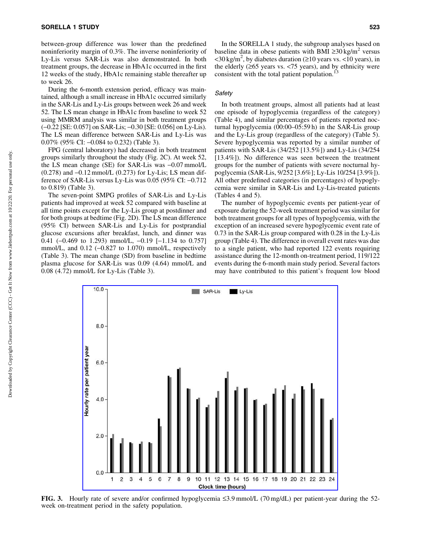between-group difference was lower than the predefined noninferiority margin of 0.3%. The inverse noninferiority of Ly-Lis versus SAR-Lis was also demonstrated. In both treatment groups, the decrease in HbA1c occurred in the first 12 weeks of the study, HbA1c remaining stable thereafter up to week 26.

During the 6-month extension period, efficacy was maintained, although a small increase in HbA1c occurred similarly in the SAR-Lis and Ly-Lis groups between week 26 and week 52. The LS mean change in HbA1c from baseline to week 52 using MMRM analysis was similar in both treatment groups (-0.22 [SE: 0.057] on SAR-Lis; -0.30 [SE: 0.056] on Ly-Lis). The LS mean difference between SAR-Lis and Ly-Lis was 0.07% (95% CI: -0.084 to 0.232) (Table 3).

FPG (central laboratory) had decreased in both treatment groups similarly throughout the study (Fig. 2C). At week 52, the LS mean change (SE) for SAR-Lis was  $-0.07$  mmol/L  $(0.278)$  and  $-0.12$  mmol/L  $(0.273)$  for Ly-Lis; LS mean difference of SAR-Lis versus Ly-Lis was  $0.05$  (95% CI:  $-0.712$ ) to 0.819) (Table 3).

The seven-point SMPG profiles of SAR-Lis and Ly-Lis patients had improved at week 52 compared with baseline at all time points except for the Ly-Lis group at postdinner and for both groups at bedtime (Fig. 2D). The LS mean difference (95% CI) between SAR-Lis and Ly-Lis for postprandial glucose excursions after breakfast, lunch, and dinner was 0.41  $(-0.469 \text{ to } 1.293) \text{ mmol/L}, -0.19 [-1.134 \text{ to } 0.757]$ mmol/L, and  $0.12$  ( $-0.827$  to 1.070) mmol/L, respectively (Table 3). The mean change (SD) from baseline in bedtime plasma glucose for SAR-Lis was 0.09 (4.64) mmol/L and 0.08 (4.72) mmol/L for Ly-Lis (Table 3).

In the SORELLA 1 study, the subgroup analyses based on baseline data in obese patients with BMI  $\geq 30 \text{ kg/m}^2$  versus  $\langle 30 \text{ kg/m}^2$ , by diabetes duration ( $\geq 10$  years vs.  $\langle 10 \text{ years} \rangle$ , in the elderly  $(265 \text{ years vs.} < 75 \text{ years})$ , and by ethnicity were consistent with the total patient population.<sup>1</sup>

#### **Safety**

In both treatment groups, almost all patients had at least one episode of hypoglycemia (regardless of the category) (Table 4), and similar percentages of patients reported nocturnal hypoglycemia (00:00–05:59 h) in the SAR-Lis group and the Ly-Lis group (regardless of the category) (Table 5). Severe hypoglycemia was reported by a similar number of patients with SAR-Lis (34/252 [13.5%]) and Ly-Lis (34/254 [13.4%]). No difference was seen between the treatment groups for the number of patients with severe nocturnal hypoglycemia (SAR-Lis, 9/252 [3.6%]; Ly-Lis 10/254 [3.9%]). All other predefined categories (in percentages) of hypoglycemia were similar in SAR-Lis and Ly-Lis-treated patients (Tables 4 and 5).

The number of hypoglycemic events per patient-year of exposure during the 52-week treatment period was similar for both treatment groups for all types of hypoglycemia, with the exception of an increased severe hypoglycemic event rate of 0.73 in the SAR-Lis group compared with 0.28 in the Ly-Lis group (Table 4). The difference in overall event rates was due to a single patient, who had reported 122 events requiring assistance during the 12-month on-treatment period, 119/122 events during the 6-month main study period. Several factors may have contributed to this patient's frequent low blood



FIG. 3. Hourly rate of severe and/or confirmed hypoglycemia  $\leq 3.9$  mmol/L (70 mg/dL) per patient-year during the 52week on-treatment period in the safety population.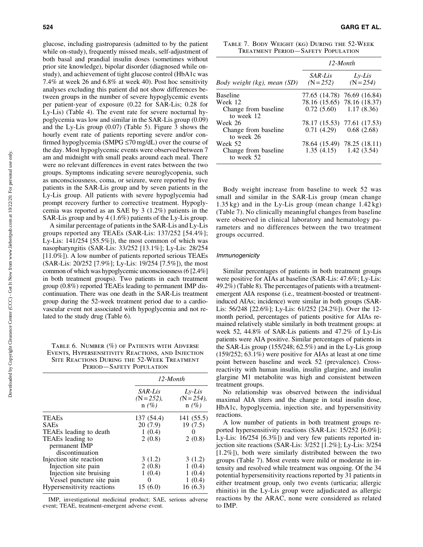glucose, including gastroparesis (admitted to by the patient while on-study), frequently missed meals, self-adjustment of both basal and prandial insulin doses (sometimes without prior site knowledge), bipolar disorder (diagnosed while onstudy), and achievement of tight glucose control (HbA1c was 7.4% at week 26 and 6.8% at week 40). Post hoc sensitivity analyses excluding this patient did not show differences between groups in the number of severe hypoglycemic events per patient-year of exposure (0.22 for SAR-Lis; 0.28 for Ly-Lis) (Table 4). The event rate for severe nocturnal hypoglycemia was low and similar in the SAR-Lis group (0.09) and the Ly-Lis group (0.07) (Table 5). Figure 3 shows the hourly event rate of patients reporting severe and/or confirmed hypoglycemia (SMPG  $\leq$ 70 mg/dL) over the course of the day. Most hypoglycemic events were observed between 7 am and midnight with small peaks around each meal. There were no relevant differences in event rates between the two groups. Symptoms indicating severe neuroglycopenia, such as unconsciousness, coma, or seizure, were reported by five patients in the SAR-Lis group and by seven patients in the Ly-Lis group. All patients with severe hypoglycemia had prompt recovery further to corrective treatment. Hypoglycemia was reported as an SAE by 3 (1.2%) patients in the SAR-Lis group and by 4 (1.6%) patients of the Ly-Lis group.

A similar percentage of patients in the SAR-Lis and Ly-Lis groups reported any TEAEs (SAR-Lis: 137/252 [54.4%]; Ly-Lis:  $141/254$  [55.5%]), the most common of which was nasopharyngitis (SAR-Lis: 33/252 [13.1%]; Ly-Lis: 28/254 [11.0%]). A low number of patients reported serious TEAEs (SAR-Lis: 20/252 [7.9%]; Ly-Lis: 19/254 [7.5%]), the most common of which was hypoglycemic unconsciousness (6 [2.4%] in both treatment groups). Two patients in each treatment group (0.8%) reported TEAEs leading to permanent IMP discontinuation. There was one death in the SAR-Lis treatment group during the 52-week treatment period due to a cardiovascular event not associated with hypoglycemia and not related to the study drug (Table 6).

Table 6. Number (%) of Patients with Adverse Events, Hypersensitivity Reactions, and Injection Site Reactions During the 52-Week Treatment PERIOD-SAFETY POPULATION

|                                                      | $12$ -Month                         |                                      |
|------------------------------------------------------|-------------------------------------|--------------------------------------|
|                                                      | SAR-Lis<br>$(N = 252)$ ,<br>$n(\%)$ | $Lv-Lis$<br>$(N = 254)$ ,<br>$n(\%)$ |
| <b>TEAEs</b>                                         | 137 (54.4)                          | 141 (55.5)                           |
| <b>SAEs</b>                                          | 20 (7.9)                            | 19 (7.5)                             |
| TEAEs leading to death                               | 1(0.4)                              |                                      |
| TEAEs leading to<br>permanent IMP<br>discontinuation | 2(0.8)                              | 2(0.8)                               |
| Injection site reaction                              | 3(1.2)                              | 3(1.2)                               |
| Injection site pain                                  | 2(0.8)                              | 1(0.4)                               |
| Injection site bruising                              | 1(0.4)                              | 1(0.4)                               |
| Vessel puncture site pain                            | 0                                   | 1(0.4)                               |
| Hypersensitivity reactions                           | 15 (6.0)                            | 16 (6.3)                             |

IMP, investigational medicinal product; SAE, serious adverse event; TEAE, treatment-emergent adverse event.

Table 7. Body Weight (kg) During the 52-Week Treatment Period—Safety Population

| Body weight (kg), mean (SD)        | $12$ -Month            |                             |  |
|------------------------------------|------------------------|-----------------------------|--|
|                                    | SAR-Lis<br>$(N = 252)$ | $Lv-Lis$<br>$(N = 254)$     |  |
| <b>Baseline</b>                    |                        | 77.65 (14.78) 76.69 (16.84) |  |
| Week 12                            |                        | 78.16 (15.65) 78.16 (18.37) |  |
| Change from baseline<br>to week 12 |                        | $0.72(5.60)$ 1.17 (8.36)    |  |
| Week 26                            |                        | 78.17 (15.53) 77.61 (17.53) |  |
| Change from baseline<br>to week 26 | 0.71(4.29)             | 0.68(2.68)                  |  |
| Week 52                            |                        | 78.64 (15.49) 78.25 (18.11) |  |
| Change from baseline<br>to week 52 |                        | $1.35(4.15)$ $1.42(3.54)$   |  |

Body weight increase from baseline to week 52 was small and similar in the SAR-Lis group (mean change  $1.35$  kg) and in the Ly-Lis group (mean change  $1.42$  kg) (Table 7). No clinically meaningful changes from baseline were observed in clinical laboratory and hematology parameters and no differences between the two treatment groups occurred.

#### Immunogenicity

Similar percentages of patients in both treatment groups were positive for AIAs at baseline (SAR-Lis: 47.6%; Ly-Lis: 49.2%) (Table 8). The percentages of patients with a treatmentemergent AIA response (i.e., treatment-boosted or treatmentinduced AIAs; incidence) were similar in both groups (SAR-Lis: 56/248 [22.6%]; Ly-Lis: 61/252 [24.2%]). Over the 12 month period, percentages of patients positive for AIAs remained relatively stable similarly in both treatment groups: at week 52, 44.8% of SAR-Lis patients and 47.2% of Ly-Lis patients were AIA positive. Similar percentages of patients in the SAR-Lis group (155/248; 62.5%) and in the Ly-Lis group (159/252; 63.1%) were positive for AIAs at least at one time point between baseline and week 52 (prevalence). Crossreactivity with human insulin, insulin glargine, and insulin glargine M1 metabolite was high and consistent between treatment groups.

No relationship was observed between the individual maximal AIA titers and the change in total insulin dose, HbA1c, hypoglycemia, injection site, and hypersensitivity reactions.

A low number of patients in both treatment groups reported hypersensitivity reactions (SAR-Lis: 15/252 [6.0%]; Ly-Lis: 16/254 [6.3%]) and very few patients reported injection site reactions (SAR-Lis: 3/252 [1.2%]; Ly-Lis: 3/254 [1.2%]), both were similarly distributed between the two groups (Table 7). Most events were mild or moderate in intensity and resolved while treatment was ongoing. Of the 34 potential hypersensitivity reactions reported by 31 patients in either treatment group, only two events (urticaria; allergic rhinitis) in the Ly-Lis group were adjudicated as allergic reactions by the ARAC, none were considered as related to IMP.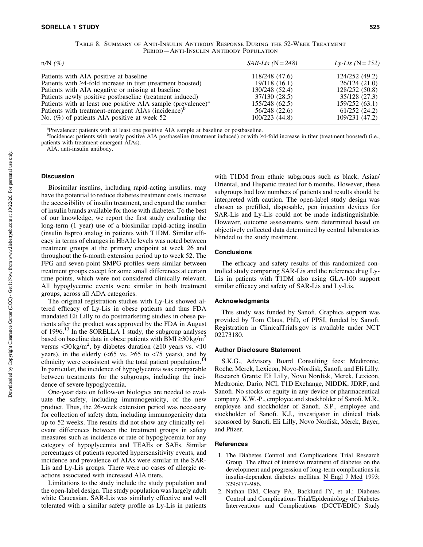| TABLE 8. SUMMARY OF ANTI-INSULIN ANTIBODY RESPONSE DURING THE 52-WEEK TREATMENT |
|---------------------------------------------------------------------------------|
| PERIOD-ANTI-INSULIN ANTIBODY POPULATION                                         |

| $n/N$ (%)                                                                | $SAR-Lis$ (N = 248) | <i>Ly-Lis</i> ( $N = 252$ ) |
|--------------------------------------------------------------------------|---------------------|-----------------------------|
| Patients with AIA positive at baseline                                   | 118/248 (47.6)      | 124/252 (49.2)              |
| Patients with $\geq$ 4-fold increase in titer (treatment boosted)        | 19/118(16.1)        | 26/124 (21.0)               |
| Patients with AIA negative or missing at baseline                        | 130/248 (52.4)      | 128/252 (50.8)              |
| Patients newly positive postbaseline (treatment induced)                 | 37/130 (28.5)       | 35/128 (27.3)               |
| Patients with at least one positive AIA sample (prevalence) <sup>a</sup> | 155/248 (62.5)      | 159/252 (63.1)              |
| Patients with treatment-emergent AIAs (incidence) <sup>b</sup>           | 56/248 (22.6)       | 61/252 (24.2)               |
| No. (%) of patients AIA positive at week 52                              | 100/223 (44.8)      | 109/231 (47.2)              |

<sup>a</sup>Prevalence: patients with at least one positive AIA sample at baseline or postbaseline.

b<br>Incidence: patients with newly positive AIA postbaseline (treatment induced) or with ≥4-fold increase in titer (treatment boosted) (i.e., patients with treatment-emergent AIAs).

AIA, anti-insulin antibody.

## **Discussion**

Biosimilar insulins, including rapid-acting insulins, may have the potential to reduce diabetes treatment costs, increase the accessibility of insulin treatment, and expand the number of insulin brands available for those with diabetes. To the best of our knowledge, we report the first study evaluating the long-term (1 year) use of a biosimilar rapid-acting insulin (insulin lispro) analog in patients with T1DM. Similar efficacy in terms of changes in HbA1c levels was noted between treatment groups at the primary endpoint at week 26 and throughout the 6-month extension period up to week 52. The FPG and seven-point SMPG profiles were similar between treatment groups except for some small differences at certain time points, which were not considered clinically relevant. All hypoglycemic events were similar in both treatment groups, across all ADA categories.

The original registration studies with Ly-Lis showed altered efficacy of Ly-Lis in obese patients and thus FDA mandated Eli Lilly to do postmarketing studies in obese patients after the product was approved by the FDA in August of 1996.<sup>13</sup> In the SORELLA 1 study, the subgroup analyses based on baseline data in obese patients with BMI  $\geq 30 \text{ kg/m}^2$ versus <30 kg/m<sup>2</sup>, by diabetes duration ( $\geq$ 10 years vs. <10 years), in the elderly  $(< 65$  vs.  $\ge 65$  to  $< 75$  years), and by ethnicity were consistent with the total patient population.<sup>14</sup> In particular, the incidence of hypoglycemia was comparable between treatments for the subgroups, including the incidence of severe hypoglycemia.

One-year data on follow-on biologics are needed to evaluate the safety, including immunogenicity, of the new product. Thus, the 26-week extension period was necessary for collection of safety data, including immunogenicity data up to 52 weeks. The results did not show any clinically relevant differences between the treatment groups in safety measures such as incidence or rate of hypoglycemia for any category of hypoglycemia and TEAEs or SAEs. Similar percentages of patients reported hypersensitivity events, and incidence and prevalence of AIAs were similar in the SAR-Lis and Ly-Lis groups. There were no cases of allergic reactions associated with increased AIA titers.

Limitations to the study include the study population and the open-label design. The study population was largely adult white Caucasian. SAR-Lis was similarly effective and well tolerated with a similar safety profile as Ly-Lis in patients with T1DM from ethnic subgroups such as black, Asian/ Oriental, and Hispanic treated for 6 months. However, these subgroups had low numbers of patients and results should be interpreted with caution. The open-label study design was chosen as prefilled, disposable, pen injection devices for SAR-Lis and Ly-Lis could not be made indistinguishable. However, outcome assessments were determined based on objectively collected data determined by central laboratories blinded to the study treatment.

# **Conclusions**

The efficacy and safety results of this randomized controlled study comparing SAR-Lis and the reference drug Ly-Lis in patients with T1DM also using GLA-100 support similar efficacy and safety of SAR-Lis and Ly-Lis.

# Acknowledgments

This study was funded by Sanofi. Graphics support was provided by Tom Claus, PhD, of PPSI, funded by Sanofi. Registration in ClinicalTrials.gov is available under NCT 02273180.

# Author Disclosure Statement

S.K.G., Advisory Board Consulting fees: Medtronic, Roche, Merck, Lexicon, Novo-Nordisk, Sanofi, and Eli Lilly. Research Grants: Eli Lilly, Novo Nordisk, Merck, Lexicon, Medtronic, Dario, NCI, T1D Exchange, NIDDK, JDRF, and Sanofi. No stocks or equity in any device or pharmaceutical company. K.W.-P., employee and stockholder of Sanofi. M.R., employee and stockholder of Sanofi. S.P., employee and stockholder of Sanofi. K.J., investigator in clinical trials sponsored by Sanofi, Eli Lilly, Novo Nordisk, Merck, Bayer, and Pfizer.

#### References

- 1. The Diabetes Control and Complications Trial Research Group. The effect of intensive treatment of diabetes on the development and progression of long-term complications in insulin-dependent diabetes mellitus. [N Engl J Med](https://www.liebertpub.com/action/showLinks?pmid=8366922&crossref=10.1056%2FNEJM199309303291401&citationId=p_9) 1993; 329:977–986.
- 2. Nathan DM, Cleary PA, Backlund JY, et al.; Diabetes Control and Complications Trial/Epidemiology of Diabetes Interventions and Complications (DCCT/EDIC) Study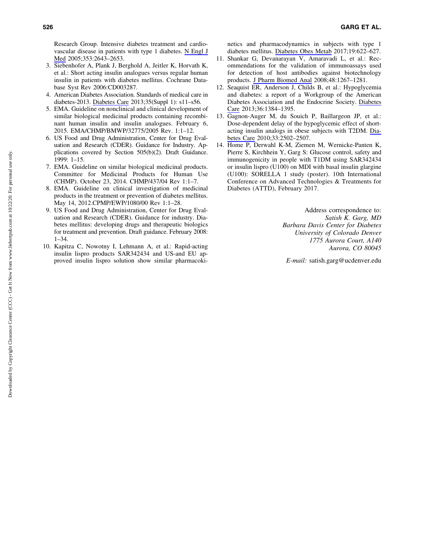Research Group. Intensive diabetes treatment and cardiovascular disease in patients with type 1 diabetes. [N Engl J](https://www.liebertpub.com/action/showLinks?pmid=16371630&crossref=10.1056%2FNEJMoa052187&citationId=p_10) [Med](https://www.liebertpub.com/action/showLinks?pmid=16371630&crossref=10.1056%2FNEJMoa052187&citationId=p_10) 2005;353:2643–2653.

- 3. Siebenhofer A, Plank J, Berghold A, Jeitler K, Horvath K, et al.: Short acting insulin analogues versus regular human insulin in patients with diabetes mellitus. Cochrane Database Syst Rev 2006:CD003287.
- 4. American Diabetes Association. Standards of medical care in diabetes-2013. [Diabetes Care](https://www.liebertpub.com/action/showLinks?crossref=10.2337%2Fdc13-S011&citationId=p_12) 2013;35(Suppl 1): s11–s56.
- 5. EMA. Guideline on nonclinical and clinical development of similar biological medicinal products containing recombinant human insulin and insulin analogues. February 6, 2015. EMA/CHMP/BMWP/32775/2005 Rev. 1:1–12.
- 6. US Food and Drug Administration, Center for Drug Evaluation and Research (CDER). Guidance for Industry. Applications covered by Section 505(b)(2). Draft Guidance. 1999: 1–15.
- 7. EMA. Guideline on similar biological medicinal products. Committee for Medicinal Products for Human Use (CHMP). October 23, 2014. CHMP/437/04 Rev 1:1–7.
- 8. EMA. Guideline on clinical investigation of medicinal products in the treatment or prevention of diabetes mellitus. May 14, 2012.CPMP/EWP/1080/00 Rev 1:1–28.
- 9. US Food and Drug Administration, Center for Drug Evaluation and Research (CDER). Guidance for industry. Diabetes mellitus: developing drugs and therapeutic biologics for treatment and prevention. Draft guidance. February 2008: 1–34.
- 10. Kapitza C, Nowotny I, Lehmann A, et al.: Rapid-acting insulin lispro products SAR342434 and US-and EU approved insulin lispro solution show similar pharmacoki-

netics and pharmacodynamics in subjects with type 1 diabetes mellitus. [Diabetes Obes Metab](https://www.liebertpub.com/action/showLinks?pmid=27987252&crossref=10.1111%2Fdom.12856&citationId=p_18) 2017;19:622–627.

- 11. Shankar G, Devanarayan V, Amaravadi L, et al.: Recommendations for the validation of immunoassays used for detection of host antibodies against biotechnology products. [J Pharm Biomed Anal](https://www.liebertpub.com/action/showLinks?pmid=18993008&crossref=10.1016%2Fj.jpba.2008.09.020&citationId=p_19) 2008;48:1267–1281.
- 12. Seaquist ER, Anderson J, Childs B, et al.: Hypoglycemia and diabetes: a report of a Workgroup of the American Diabetes Association and the Endocrine Society. [Diabetes](https://www.liebertpub.com/action/showLinks?pmid=23589542&crossref=10.2337%2Fdc12-2480&citationId=p_20) [Care](https://www.liebertpub.com/action/showLinks?pmid=23589542&crossref=10.2337%2Fdc12-2480&citationId=p_20) 2013;36:1384–1395.
- 13. Gagnon-Auger M, du Souich P, Baillargeon JP, et al.: Dose-dependent delay of the hypoglycemic effect of shortacting insulin analogs in obese subjects with T2DM. [Dia](https://www.liebertpub.com/action/showLinks?pmid=20841613&crossref=10.2337%2Fdc10-1126&citationId=p_21)[betes Care](https://www.liebertpub.com/action/showLinks?pmid=20841613&crossref=10.2337%2Fdc10-1126&citationId=p_21) 2010;33:2502–2507.
- 14. Home P, Derwahl K-M, Ziemen M, Wernicke-Panten K, Pierre S, Kirchhein Y, Garg S: Glucose control, safety and immunogenicity in people with T1DM using SAR342434 or insulin lispro (U100) on MDI with basal insulin glargine (U100): SORELLA 1 study (poster). 10th International Conference on Advanced Technologies & Treatments for Diabetes (ATTD), February 2017.

Address correspondence to: *Satish K. Garg, MD Barbara Davis Center for Diabetes University of Colorado Denver 1775 Aurora Court, A140 Aurora, CO 80045*

*E-mail:* satish.garg@ucdenver.edu